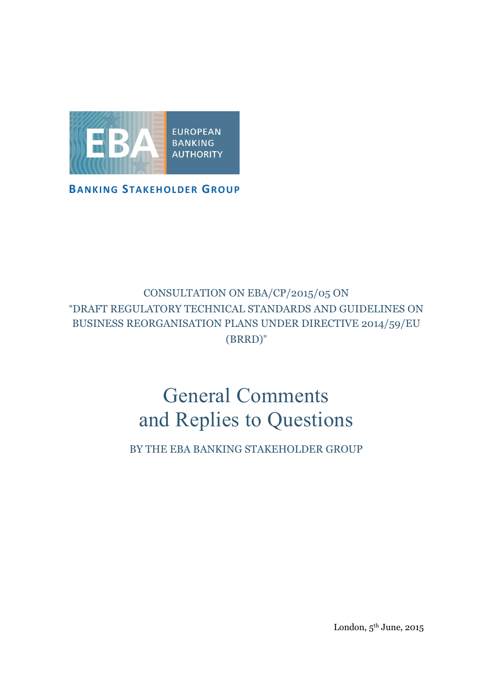

**BANKING STAKEHOLDER GROUP**

## CONSULTATION ON EBA/CP/2015/05 ON "DRAFT REGULATORY TECHNICAL STANDARDS AND GUIDELINES ON BUSINESS REORGANISATION PLANS UNDER DIRECTIVE 2014/59/EU (BRRD)"

# General Comments and Replies to Questions

BY THE EBA BANKING STAKEHOLDER GROUP

London, 5 th June, 2015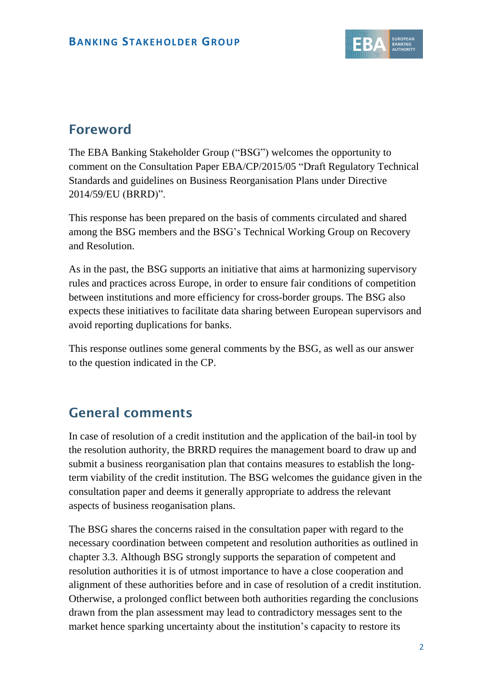

# **Foreword**

The EBA Banking Stakeholder Group ("BSG") welcomes the opportunity to comment on the Consultation Paper EBA/CP/2015/05 "Draft Regulatory Technical Standards and guidelines on Business Reorganisation Plans under Directive 2014/59/EU (BRRD)".

This response has been prepared on the basis of comments circulated and shared among the BSG members and the BSG's Technical Working Group on Recovery and Resolution.

As in the past, the BSG supports an initiative that aims at harmonizing supervisory rules and practices across Europe, in order to ensure fair conditions of competition between institutions and more efficiency for cross-border groups. The BSG also expects these initiatives to facilitate data sharing between European supervisors and avoid reporting duplications for banks.

This response outlines some general comments by the BSG, as well as our answer to the question indicated in the CP.

## **General comments**

In case of resolution of a credit institution and the application of the bail-in tool by the resolution authority, the BRRD requires the management board to draw up and submit a business reorganisation plan that contains measures to establish the longterm viability of the credit institution. The BSG welcomes the guidance given in the consultation paper and deems it generally appropriate to address the relevant aspects of business reoganisation plans.

The BSG shares the concerns raised in the consultation paper with regard to the necessary coordination between competent and resolution authorities as outlined in chapter 3.3. Although BSG strongly supports the separation of competent and resolution authorities it is of utmost importance to have a close cooperation and alignment of these authorities before and in case of resolution of a credit institution. Otherwise, a prolonged conflict between both authorities regarding the conclusions drawn from the plan assessment may lead to contradictory messages sent to the market hence sparking uncertainty about the institution's capacity to restore its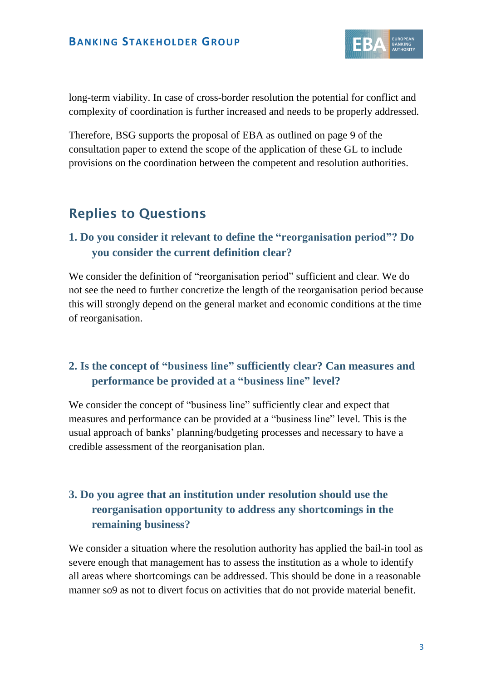

long-term viability. In case of cross-border resolution the potential for conflict and complexity of coordination is further increased and needs to be properly addressed.

Therefore, BSG supports the proposal of EBA as outlined on page 9 of the consultation paper to extend the scope of the application of these GL to include provisions on the coordination between the competent and resolution authorities.

# **Replies to Questions**

#### **1. Do you consider it relevant to define the "reorganisation period"? Do you consider the current definition clear?**

We consider the definition of "reorganisation period" sufficient and clear. We do not see the need to further concretize the length of the reorganisation period because this will strongly depend on the general market and economic conditions at the time of reorganisation.

#### **2. Is the concept of "business line" sufficiently clear? Can measures and performance be provided at a "business line" level?**

We consider the concept of "business line" sufficiently clear and expect that measures and performance can be provided at a "business line" level. This is the usual approach of banks' planning/budgeting processes and necessary to have a credible assessment of the reorganisation plan.

#### **3. Do you agree that an institution under resolution should use the reorganisation opportunity to address any shortcomings in the remaining business?**

We consider a situation where the resolution authority has applied the bail-in tool as severe enough that management has to assess the institution as a whole to identify all areas where shortcomings can be addressed. This should be done in a reasonable manner so9 as not to divert focus on activities that do not provide material benefit.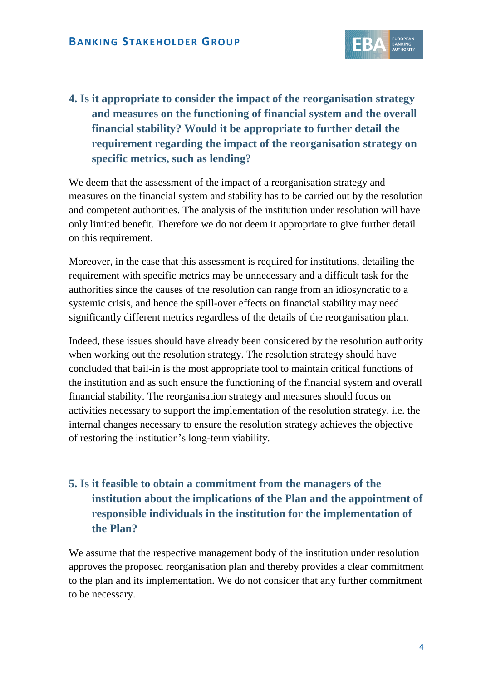

**4. Is it appropriate to consider the impact of the reorganisation strategy and measures on the functioning of financial system and the overall financial stability? Would it be appropriate to further detail the requirement regarding the impact of the reorganisation strategy on specific metrics, such as lending?**

We deem that the assessment of the impact of a reorganisation strategy and measures on the financial system and stability has to be carried out by the resolution and competent authorities. The analysis of the institution under resolution will have only limited benefit. Therefore we do not deem it appropriate to give further detail on this requirement.

Moreover, in the case that this assessment is required for institutions, detailing the requirement with specific metrics may be unnecessary and a difficult task for the authorities since the causes of the resolution can range from an idiosyncratic to a systemic crisis, and hence the spill-over effects on financial stability may need significantly different metrics regardless of the details of the reorganisation plan.

Indeed, these issues should have already been considered by the resolution authority when working out the resolution strategy. The resolution strategy should have concluded that bail-in is the most appropriate tool to maintain critical functions of the institution and as such ensure the functioning of the financial system and overall financial stability. The reorganisation strategy and measures should focus on activities necessary to support the implementation of the resolution strategy, i.e. the internal changes necessary to ensure the resolution strategy achieves the objective of restoring the institution's long-term viability.

#### **5. Is it feasible to obtain a commitment from the managers of the institution about the implications of the Plan and the appointment of responsible individuals in the institution for the implementation of the Plan?**

We assume that the respective management body of the institution under resolution approves the proposed reorganisation plan and thereby provides a clear commitment to the plan and its implementation. We do not consider that any further commitment to be necessary.